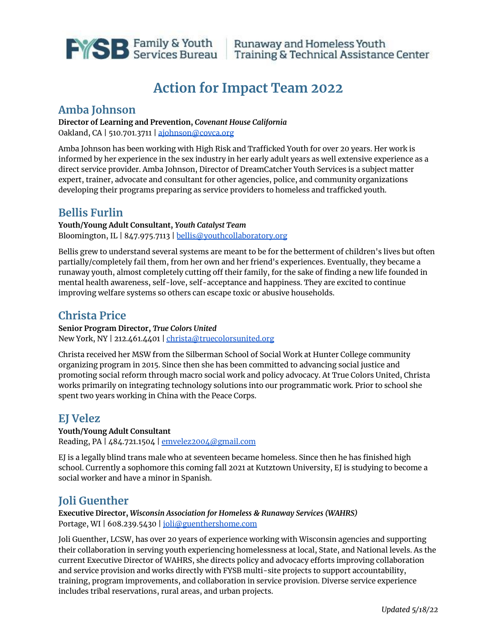

# **Action for Impact Team 2022**

### **Amba Johnson**

#### **Director of Learning and Prevention,** *Covenant House California* Oakland, CA | 510.701.3711 | [ajohnson@covca.org](mailto:ajohnson@covca.org)

Amba Johnson has been working with High Risk and Trafficked Youth for over 20 years. Her work is informed by her experience in the sex industry in her early adult years as well extensive experience as a direct service provider. Amba Johnson, Director of DreamCatcher Youth Services is a subject matter expert, trainer, advocate and consultant for other agencies, police, and community organizations developing their programs preparing as service providers to homeless and trafficked youth.

## **Bellis Furlin**

**Youth/Young Adult Consultant,** *Youth Catalyst Team* Bloomington, IL | 847.975.7113 | [bellis@youthcollaboratory.org](mailto:bellis@youthcollaboratory.org)

Bellis grew to understand several systems are meant to be for the betterment of children's lives but often partially/completely fail them, from her own and her friend's experiences. Eventually, they became a runaway youth, almost completely cutting off their family, for the sake of finding a new life founded in mental health awareness, self-love, self-acceptance and happiness. They are excited to continue improving welfare systems so others can escape toxic or abusive households.

## **Christa Price**

**Senior Program Director,** *True Colors United* New York, NY | 212.461.4401 | [christa@truecolorsunited.org](mailto:christa@truecolorsunited.org)

Christa received her MSW from the Silberman School of Social Work at Hunter College community organizing program in 2015. Since then she has been committed to advancing social justice and promoting social reform through macro social work and policy advocacy. At True Colors United, Christa works primarily on integrating technology solutions into our programmatic work. Prior to school she spent two years working in China with the Peace Corps.

## **EJ Velez**

#### **Youth/Young Adult Consultant**

Reading, PA | 484.721.1504 | [emvelez2004@gmail.com](mailto:emvelez2004@gmail.com)

EJ is a legally blind trans male who at seventeen became homeless. Since then he has finished high school. Currently a sophomore this coming fall 2021 at Kutztown University, EJ is studying to become a social worker and have a minor in Spanish.

## **Joli Guenther**

**Executive Director,** *Wisconsin Association for Homeless & Runaway Services (WAHRS)* Portage, WI | 608.239.5430 | [joli@guenthershome.com](mailto:joli@guenthershome.com)

Joli Guenther, LCSW, has over 20 years of experience working with Wisconsin agencies and supporting their collaboration in serving youth experiencing homelessness at local, State, and National levels. As the current Executive Director of WAHRS, she directs policy and advocacy efforts improving collaboration and service provision and works directly with FYSB multi-site projects to support accountability, training, program improvements, and collaboration in service provision. Diverse service experience includes tribal reservations, rural areas, and urban projects.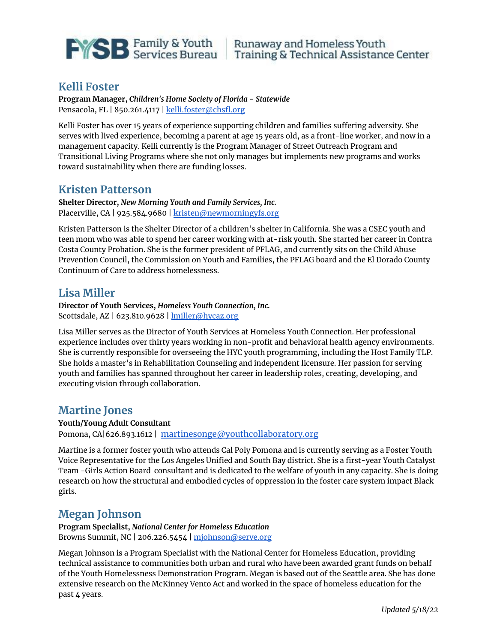

### **Kelli Foster**

**Program Manager,** *Children's Home Society of Florida - Statewide* Pensacola, FL | 850.261.4117 | [kelli.foster@chsfl.org](mailto:kelli.foster@chsfl.org)

Kelli Foster has over 15 years of experience supporting children and families suffering adversity. She serves with lived experience, becoming a parent at age 15 years old, as a front-line worker, and now in a management capacity. Kelli currently is the Program Manager of Street Outreach Program and Transitional Living Programs where she not only manages but implements new programs and works toward sustainability when there are funding losses.

#### **Kristen Patterson**

**Shelter Director,** *New Morning Youth and Family Services, Inc.* Placerville, CA | 925.584.9680 | k[risten@newmorningyfs.org](mailto:kristen@newmorningyfs.org)

Kristen Patterson is the Shelter Director of a children's shelter in California. She was a CSEC youth and teen mom who was able to spend her career working with at-risk youth. She started her career in Contra Costa County Probation. She is the former president of PFLAG, and currently sits on the Child Abuse Prevention Council, the Commission on Youth and Families, the PFLAG board and the El Dorado County Continuum of Care to address homelessness.

### **Lisa Miller**

**Director of Youth Services,** *Homeless Youth Connection, Inc.* Scottsdale, AZ | 623.810.9628 | **[lmiller@hycaz.org](mailto:lmiller@hycaz.org)** 

Lisa Miller serves as the Director of Youth Services at Homeless Youth Connection. Her professional experience includes over thirty years working in non-profit and behavioral health agency environments. She is currently responsible for overseeing the HYC youth programming, including the Host Family TLP. She holds a master's in Rehabilitation Counseling and independent licensure. Her passion for serving youth and families has spanned throughout her career in leadership roles, creating, developing, and executing vision through collaboration.

### **Martine Jones**

#### **Youth/Young Adult Consultant**

Pomona, CA|626.893.1612 | [martinesonge@youthcollaboratory.org](mailto:martinesonge@youthcollaboratory.org)

Martine is a former foster youth who attends Cal Poly Pomona and is currently serving as a Foster Youth Voice Representative for the Los Angeles Unified and South Bay district. She is a first-year Youth Catalyst Team -Girls Action Board consultant and is dedicated to the welfare of youth in any capacity. She is doing research on how the structural and embodied cycles of oppression in the foster care system impact Black girls.

## **Megan Johnson**

**Program Specialist,** *National Center for Homeless Education* Browns Summit, NC | 206.226.5454 | [mjohnson@serve.org](mailto:mjohnson@serve.org)

Megan Johnson is a Program Specialist with the National Center for Homeless Education, providing technical assistance to communities both urban and rural who have been awarded grant funds on behalf of the Youth Homelessness Demonstration Program. Megan is based out of the Seattle area. She has done extensive research on the McKinney Vento Act and worked in the space of homeless education for the past 4 years.